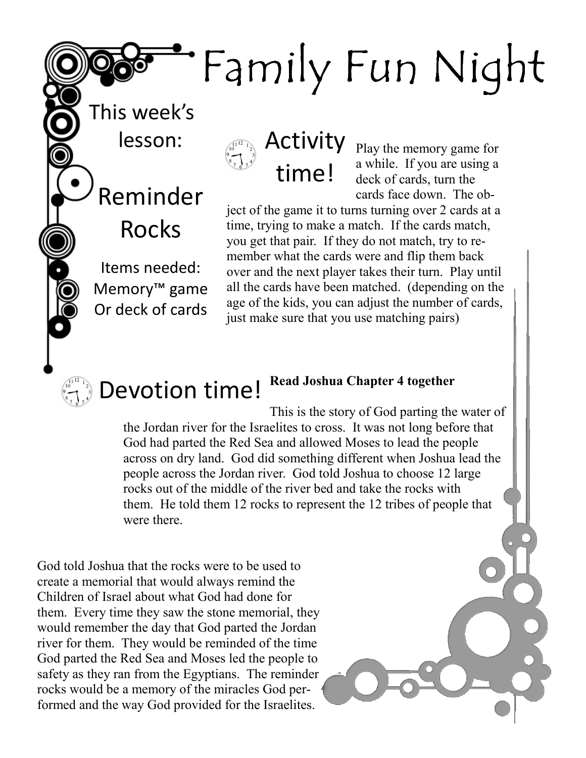## Family Fun Night

This week's lesson:

Reminder

Rocks

Items needed:

Memory™ game

Or deck of cards

Activity time!

Play the memory game for a while. If you are using a deck of cards, turn the cards face down. The ob-

ject of the game it to turns turning over 2 cards at a time, trying to make a match. If the cards match, you get that pair. If they do not match, try to remember what the cards were and flip them back over and the next player takes their turn. Play until all the cards have been matched. (depending on the age of the kids, you can adjust the number of cards, just make sure that you use matching pairs)

## Devotion time! Read Joshua Chapter 4 together

This is the story of God parting the water of the Jordan river for the Israelites to cross. It was not long before that God had parted the Red Sea and allowed Moses to lead the people across on dry land. God did something different when Joshua lead the people across the Jordan river. God told Joshua to choose 12 large rocks out of the middle of the river bed and take the rocks with them. He told them 12 rocks to represent the 12 tribes of people that were there.

God told Joshua that the rocks were to be used to create a memorial that would always remind the Children of Israel about what God had done for them. Every time they saw the stone memorial, they would remember the day that God parted the Jordan river for them. They would be reminded of the time God parted the Red Sea and Moses led the people to safety as they ran from the Egyptians. The reminder rocks would be a memory of the miracles God performed and the way God provided for the Israelites.